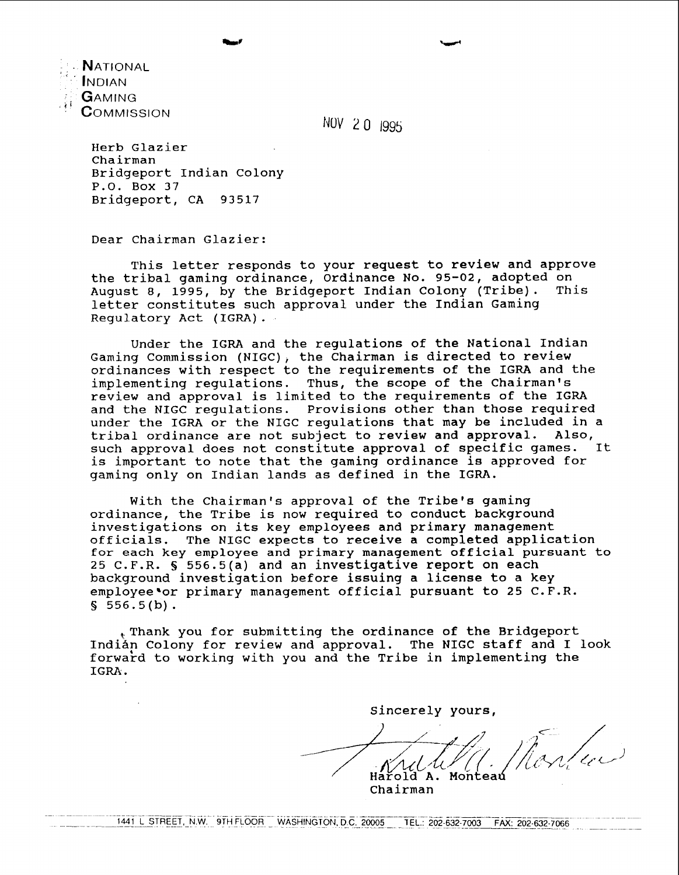**N**ational<br>Indian<br>**G**aming  ${\mathsf C}$ OMMISSION

NOV 20 1995

Herb Glazier Chairman Bridgeport Indian Colony P.O. Box 37 Bridgeport, CA 93517

Dear Chairman Glazier:

This letter responds to your request to review and approve the tribal gaming ordinance, Ordinance No. 95-02, adopted on August 8, 1995, by the Bridgeport Indian Colony (Tribe). letter constitutes such approval under the Indian Gaming Regulatory Act (IGRA).

Under the IGRA and the regulations of the National Indian Gaming Commission (NIGC), the Chairman is directed to review ordinances with respect to the requirements of the IGRA and the implementing regulations. Thus, the scope of the chairman's review and approval is limited to the requirements of the IGRA and the NIGC regulations. Provisions other than those required under the IGRA or the NIGC regulations that may be included in a tribal ordinance are not subject to review and approval. Also, tribal ordinance are not subject to review and approval. such approval does not constitute approval of specific games. It is important to note that the gaming ordinance is approved for gaming only on Indian lands as defined in the IGRA.

With the Chairman's approval of the Tribe's gaming ordinance, the Tribe is now required to conduct background investigations on its key employees and primary management officials. The NIGC expects to receive a completed application for each key employee and primary management official pursuant to 25 C.F.R. § 556.5(a) and an investigative report on each background investigation before issuing a license to a key employee'or primary management official pursuant to 25  $C.F.R.$  $$556.5(b).$ 

,Thank you for submitting the ordinance of the Bridgeport Indian Colony for review and approval. The NIGC staff and I look forward to working with you and the Tribe in implementing the IGRA.

Sincerely yours,

Harold A. Monteau

chairman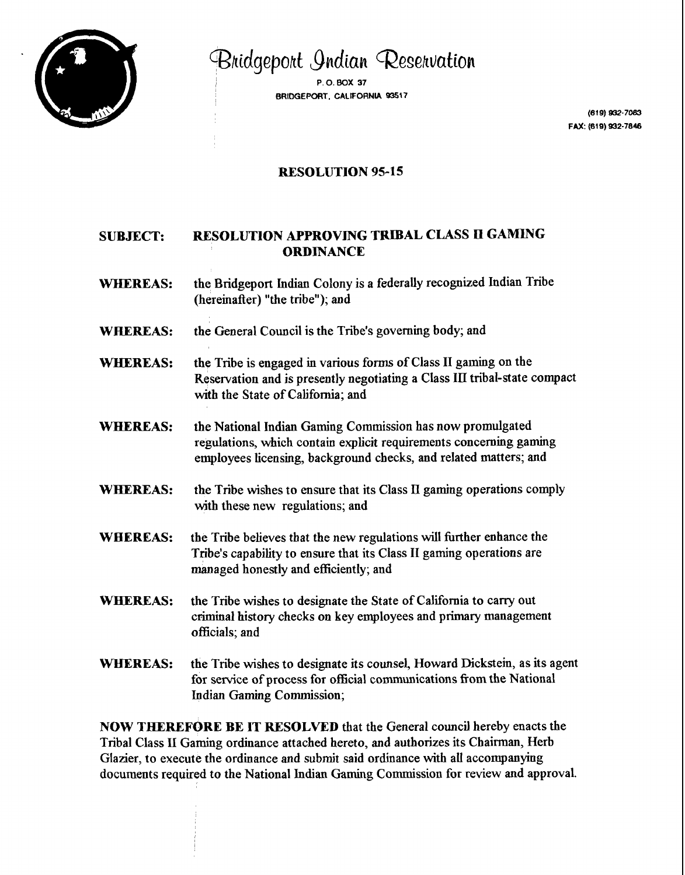

Bridgeport Indian Reservation

<sup>I</sup>**P.O.BOX 37 BRIDGEPORT. CALFORNl4 63517** 

> (619) 932-7083 FAX: (619) 932-7846

# **RESOLUTION 95-15**

# **SUBJECT: RESOLUTION APPROVJNG TRIBAL CLASS I1 GAMLNG ORDINANCE**

- **WHEREAS:** the Bridgeport Indian Colony is a federally recognized Indian Tribe (hereinafter) "the tribe"); and
- **WREREAS:** the General Council is the Tribe's governing body; and
- WHEREAS: the Tribe is engaged in various forms of Class II gaming on the Reservation and is presently negotiating a Class III tribal-state compact with the State of California; and
- **WHEREAS:** the National Indian Gaming Commission has now promulgated regulations, which contain explicit requirements concerning gaming employees licensing, background checks, and related matters; and
- **WHEREAS:** the Tribe wishes to ensure that its Class **II** gaming operations comply with these new regulations; and
- WHEREAS: the Tribe believes that the new regulations will further enhance the Tribe's capability to ensure that its Class I1 gaming operations are managed honestly and efficiently; and
- **WBEREAS:** the Tribe wishes to designate the State of California to carry out criminal history checks on key employees and primary management officials; and
- **WHEREAS:** the Tribe wishes to designate its counsel, Howard Dickstein, as its agent for service of process for official communications fiom the National Indian Gaming Commission;

**NOW THEREFORE BE IT RESOLVED** that the General council hereby enacts the Tribal Class **I1** Gaming ordinance attached hereto, and authorizes its Chairman, Herb Glazier, to execute the ordinance and submit said ordinance with all accompanying documents required to the National Indian **Gaming** Commission for review and approval.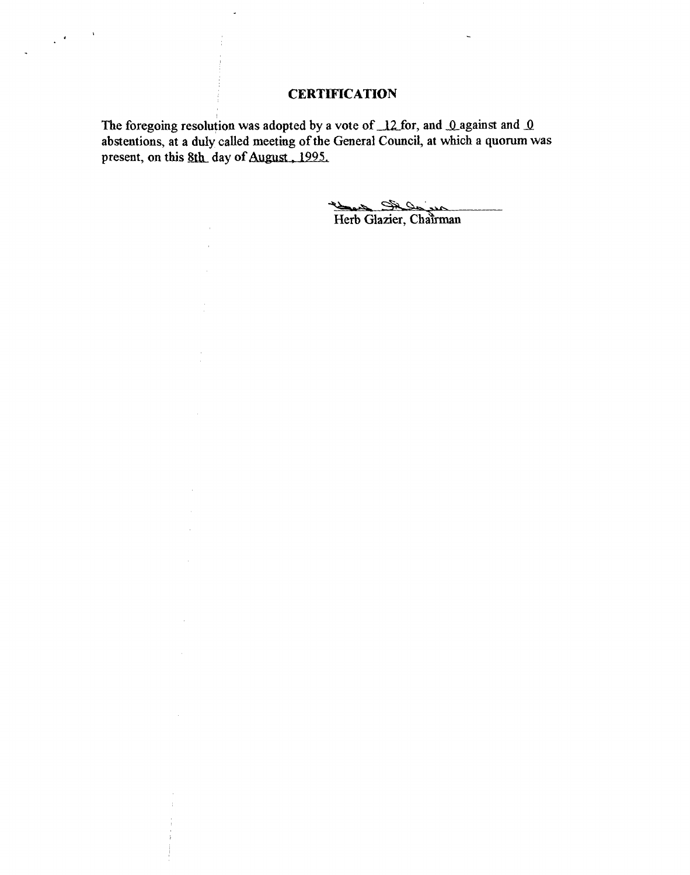# **CERTIFICATION**

The foregoing resolution was adopted by a vote of 12 for, and 0 against and 0 **abstentions, at a duly called meeting of the General Council, at which a quorum was**  present, on this 8th day of August, 1995.

 $\overline{\phantom{a}}$ 

 $\bar{1}$ 

 $\sim$ 

 $\sim$ 

 $\sim$   $\sim$ 

 $\bar{z}$ 

 $\bar{u}$ 

 $\label{eq:2} \frac{1}{2} \left( \frac{1}{2} \right)^2 \left( \frac{1}{2} \right)^2$ 

**.\A**  Herb Glazier, Chairman

 $\blacksquare$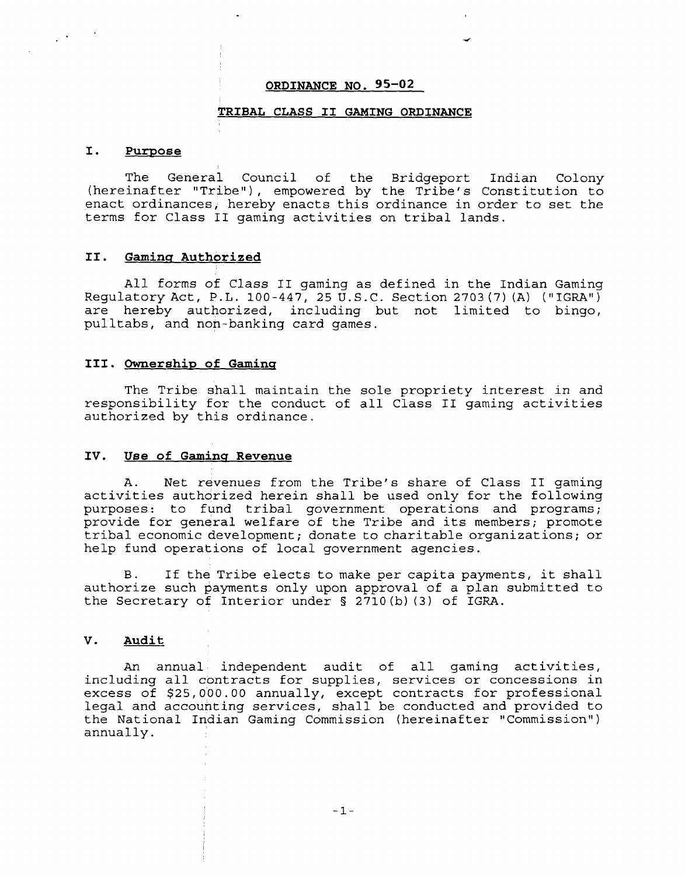### **ORDINANCE NO. 95-02**

#### **TRIBAL CLASS I1 GAMING ORDINANCE**

#### $\mathbf{I}$ . Purpose

 $\frac{1}{2}$  .

The General Council of the Bridgeport Indian Colony  $(hereinafter "Triple"), removed by the Tribe's Construction to$ enact ordinances, hereby enacts this ordinance in order to set the terms for Class I1 gaming activities on tribal lands.

#### **11. Gaminu Authorized**

All forms of Class **I1** gaming as defined in the Indian Gaming Regulatory Act, P.L. 100-447, 25 U.S.C. Section 2703 **(7)** (A) ("IGRAI1) are hereby authorized, including but not limited to bingo, pulltabs, and non-banking card games.

# **111. Ownership of Gaminq**

The Tribe shall maintain the sole propriety interest in and responsibility for the conduct of all Class **I1** gaming activities authorized by this ordinance.

### **IV. Use of Gamins Revenue**

A. Net revenues from the Tribe's share of Class I1 gaming activities authorized herein shall be used only for the following purposes: to fund tribal government operations and programs; provide for general welfare of the Tribe and its members; promote tribal economic development; donate to charitable organizations; or help fund operations of local government agencies.

B. If the Tribe elects to make per capita payments, it shall authorize such payments only upon approval of a plan submitted to the Secretary of Interior under § 2710(b) (3) of IGRA.

# **V. Audit**

An annual independent audit of all gaming activities, including all contracts for supplies, services or concessions in excess of \$25,000.00 annually, except contracts for professional legal and accounting services, shall be conducted and provided to the National Indian Gaming Commission (hereinafter "Commission") annually.

 $-1-$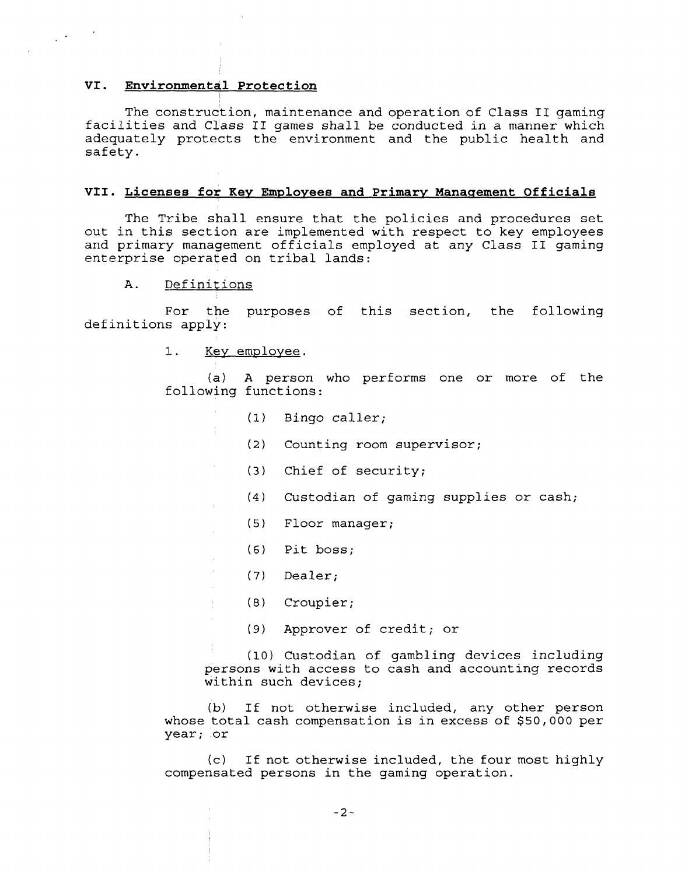# **VI. Environmental Protection**

 $\label{eq:2} \frac{1}{2}\left(\frac{1}{2}\right)^{2} \left(1-\frac{1}{2}\right)^{2}$ 

The construction, maintenance and operation of Class I1 gaming facilities and Class **I1** games shall be conducted in a manner which adequately protects the environment and the public health and safety.

### VII. Licenses for Key Employees and Primary Management Officials

The Tribe shall ensure that the policies and procedures set out in this section are implemented with respect to key employees and primary management officials employed at any Class I1 gaming enterprise operated on tribal lands:

#### Definitions  $\mathbf{A}$ .

For the purposes of this section, the following definitions apply:

1. Key employee.

 $\mathcal{L}$ 

÷.

**(a)** A person who performs one or more of the following functions:

- (1) Bingo caller;
- (2) Counting room supervisor;
- **(3)** Chief of security;
- **(4)** Custodian of gaming supplies or cash;
- (5) Floor manager;
- **(6)** Pitboss;
- (7) Dealer;
- (8) Croupier;
- Approver of credit; or  $(9)$

(10 ) Custodian of gambling devices including persons with access to cash and accounting records within such devices;

**(b)** If not otherwise included, any other person whose total cash compensation is in excess of \$50,000 per year; or

(c) If not otherwise included, the four most highly compensated persons in the gaming operation.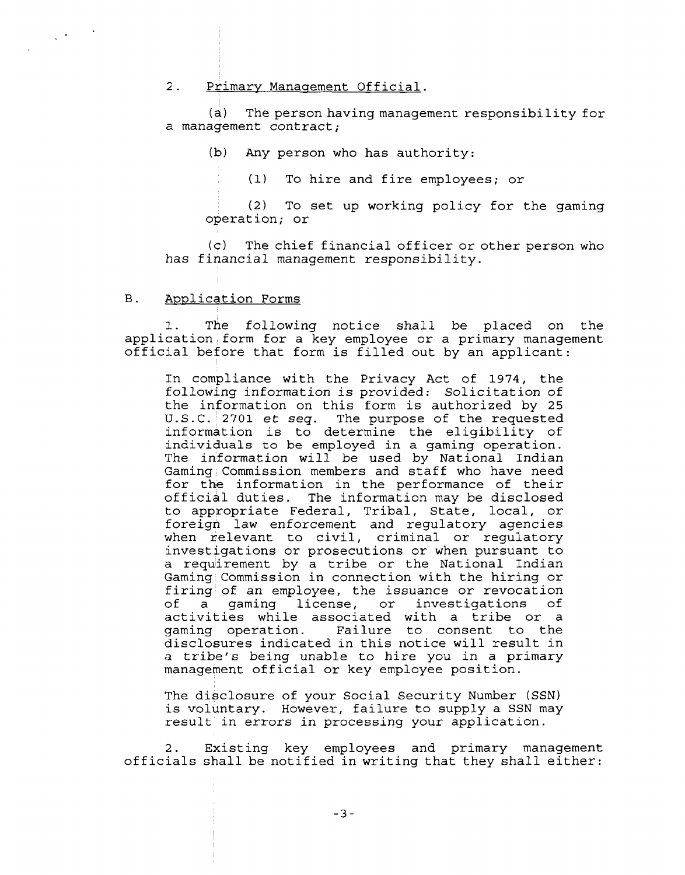#### $2.$ Primary Management Official.

(a) The person having management responsibility for a management contract;

(b) Any person who has authority:

(1) To hire and fire employees; or

(2) To set up working policy for the gaming operation; or

**(c)** The chief financial officer or other person who has financial management responsibility.

## B. Application Forms

 $\frac{1}{2} \left( \frac{1}{2} \right)^2$  ,  $\frac{1}{2} \left( \frac{1}{2} \right)^2$ 

1. The following notice shall be placed on the application form for a key employee or a primary management official before that form is filled out by an applicant:

In compliance with the Privacy Act of 1974, the following information is provided: Solicitation of the information on this form is authorized by 25 U.S.C. 2701 et seq. The purpose of the requested information is to determine the eligibility of individuals to be employed in a gaming operation. The information will be used by National Indian Gaming Commission members and staff who have need for the information in the performance of their official duties. The information may be disclosed to appropriate Federal, Tribal, State, local, or foreign law enforcement and regulatory agencies when relevant to civil, criminal or regulatory investigations or prosecutions or when pursuant to a requirement by a tribe or the National Indian Gaming Commission in connection with the hiring or firing of an employee, the issuance or revocation<br>of a gaming license, or investigations of a gaming license, or investigations activities while associated with a tribe or a gaming operation. Failure to consent to the disclosures indicated in this notice will result in a tribe's being unable to hire you in a primary management official or key employee position.

The disclosure of your Social Security Number (SSN) is voluntary. However, failure to supply a SSN may result in errors in processing your application.

2. Existing key employees and primary management officials shall be notified in writing that they shall either: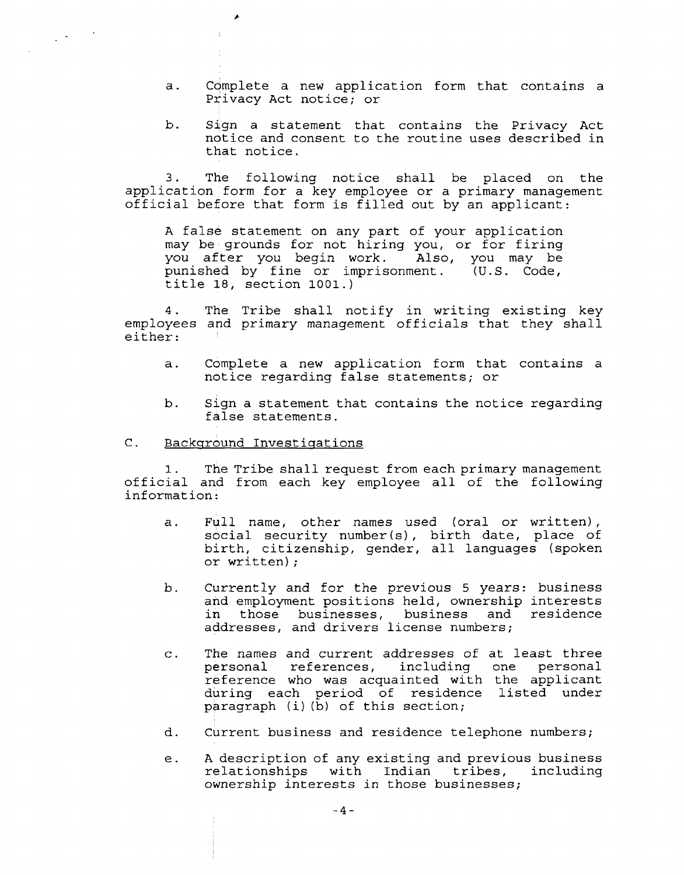- a. Complete a new application form that contains a Privacy Act notice; or
- b. Sign a statement that contains the Privacy Act notice and consent to the routine uses described in that notice.

3. The following notice shall be placed on the application form for a key employee or a primary management official before that form is filled out by an applicant:

A false statement on any part of your application may be grounds for not hiring you, or for firing<br>you after you begin work. Also, you may be you after you begin work. Also, you may be<br>punished by fine or imprisonment. (U.S. Code, punished by fine or imprisonment. title 18, section 1001.)

4. The Tribe shall notify in writing existing key employees and primary management officials that they shall either:

- a. Complete a new application form that contains a notice regarding false statements; or
- b. Sign a statement that contains the notice regarding false statements.

## C. Background Investigations

 $\label{eq:2} \frac{1}{2} \left( \frac{1}{2} \right)^2 \left( \frac{1}{2} \right)^2 \left( \frac{1}{2} \right)^2$ 

1. The Tribe shall request from each primary management official and from each key employee all of the following information:

- a. Full name, other names used (oral or written), social security number(s), birth date, place of birth, citizenship, gender, all languages (spoken or written) ;
- b. Currently and for the previous 5 years: business and employment positions held, ownership interests in those businesses, business and residence addresses, and drivers license numbers;
- c. The names and current addresses of at least three references, including reference who was acquainted with the applicant during each period of residence listed under  $\vec{p}$ aragraph (i)( $\vec{b}$ ) of this section;
- d. Current business and residence telephone numbers;
- e. A description of any existing and previous business<br>relationships with Indian tribes, including relationships with Indian tribes, ownership interests in those businesses;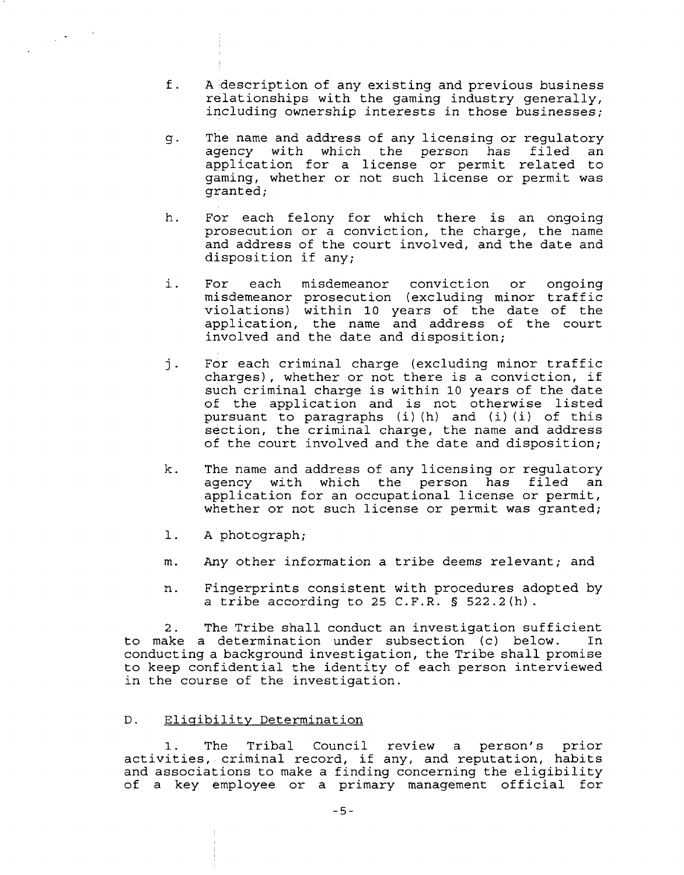- f. A description of any existing and previous business relationships with the gaming industry generally, including ownership interests in those businesses;
- g. The name and address of any licensing or regulatory<br>agency with which the person has filed an agency with which the person has filed application for a license or permit related to gaming, whether or not such license or permit was granted;
- h. For each felony for which there is an ongoing prosecution or a conviction, the charge, the name and address of the court involved, and the date and disposition if any;
- i. For each misdemeanor conviction or ongoing misdemeanor prosecution (excluding minor traffic violations) within 10 years of the date of the application, the name and address of the court involved and the date and disposition;
- j. For each criminal charge (excluding minor traffic charges), whether or not there is a conviction, if such criminal charge is within 10 years of the date of the application and is not otherwise listed pursuant to paragraphs (i) (h) and (i) (i) of this section, the criminal charge, the name and address of the court involved and the date and disposition;
- k. The name and address of any licensing or regulatory agency with which the person has filed application for an occupational license or permit, whether or not such license or permit was granted;
- A photograph;  $1.$

 $\sim 10^6$ 

- m. Any other information a tribe deems relevant; and
- n. Fingerprints consistent with procedures adopted by a tribe according to 25 C.F.R. § 522.2(h).

2. The Tribe shall conduct an investigation sufficient to make a determination under subsection (c) below. In conducting a background investigation, the Tribe shall promise to keep confidential the identity of each person interviewed in the course of the investigation.

## D. Eligibility Determination

1. The Tribal Council review a person's prior activities, criminal record, if any, and reputation, habits and associations to make a finding concerning the eligibility of a key employee or a primary management official for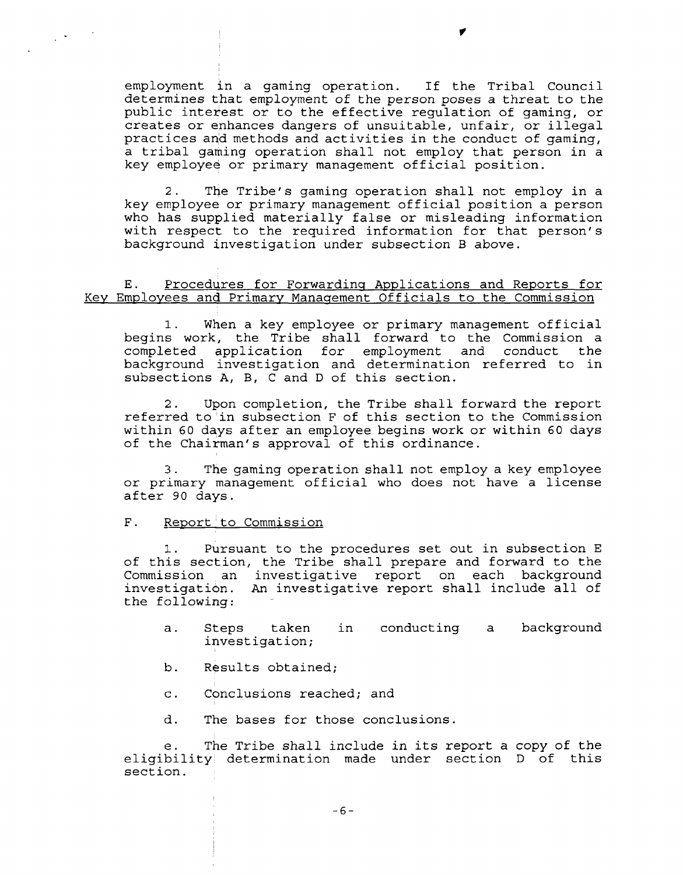employment in a gaming operation. If the Tribal Council determines that employment of the person poses a threat to the public interest or to the effective regulation of gaming, or creates or enhances dangers of unsuitable, unfair, or illegal practices and methods and activities in the conduct of gaming, a tribal gaming operation shall not employ that person in a key employee or primary management official position.

2. The Tribe's gaming operation shall not employ in a key employee or primary management official position a person who has supplied materially false or misleading information with respect to the required information for that person's background investigation under subsection B above.

# E. Procedures for Forwarding Applications and Reports for Key Employees and Primary Management Officials to the Commission

1. When a key employee or primary management official begins work, the Tribe shall forward to the Commission a completed application for employment background investigation and determination referred to in subsections A, B, C and D of this section.

2. Upon completion, the Tribe shall forward the report referred to in subsection F of this section to the Commission within 60 days after an employee begins work or within 60 days of the Chairman's approval of this ordinance.

**3.** The gaming operation shall not employ a key employee or primary management official who does not have a license after 90 days.

## F. Report to Commission

 $\frac{1}{2} \sum_{i=1}^n \frac{1}{2} \sum_{j=1}^n \frac{1}{2} \sum_{j=1}^n \frac{1}{2} \sum_{j=1}^n \frac{1}{2} \sum_{j=1}^n \frac{1}{2} \sum_{j=1}^n \frac{1}{2} \sum_{j=1}^n \frac{1}{2} \sum_{j=1}^n \frac{1}{2} \sum_{j=1}^n \frac{1}{2} \sum_{j=1}^n \frac{1}{2} \sum_{j=1}^n \frac{1}{2} \sum_{j=1}^n \frac{1}{2} \sum_{j=1}^n \frac{1}{2} \sum_{j=$ 

1. pursuant to the procedures set out in subsection E of this section, the Tribe shall prepare and forward to the Commission an investigative report on each background<br>investigation. An investigative report shall include all of An investigative report shall include all of the following:

- a. Steps taken in conducting a background investigation;
- b. Results obtained;
- c. Conclusions reached; and
- d. The bases for those conclusions.

The Tribe shall include in its report a copy of the eligibility determination made under section D of this section.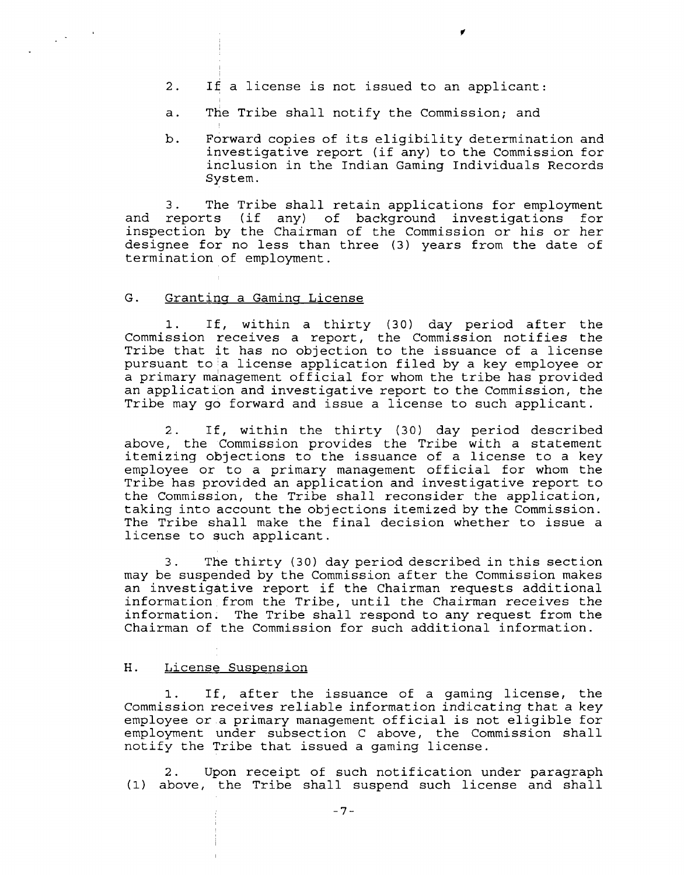- 2. **I£** a license is not issued to an applicant:
- a. The Tribe shall notify the Commission; and
- b. Forward copies of its eligibility determination and investigative report (if any) to the Commission for inclusion in the Indian Gaming Individuals Records System.

3. The Tribe shall retain applications for employment and reports (if any) of background investigations for inspection by the Chairman of the Commission or his or her designee for no less than three (3) years from the date of termination of employment.

#### G. Granting a Gaming License

 $\frac{1}{2} \sum_{i=1}^n \frac{1}{2} \sum_{j=1}^n \frac{1}{2} \sum_{j=1}^n \frac{1}{2} \sum_{j=1}^n \frac{1}{2} \sum_{j=1}^n \frac{1}{2} \sum_{j=1}^n \frac{1}{2} \sum_{j=1}^n \frac{1}{2} \sum_{j=1}^n \frac{1}{2} \sum_{j=1}^n \frac{1}{2} \sum_{j=1}^n \frac{1}{2} \sum_{j=1}^n \frac{1}{2} \sum_{j=1}^n \frac{1}{2} \sum_{j=1}^n \frac{1}{2} \sum_{j=$ 

1. If, within a thirty (30) day period after the Commission receives a report, the Commission notifies the Tribe that it has no objection to the issuance of a license pursuant to a license application filed by a key employee or a primary management official for whom the tribe has provided an application and investigative report to the Commission, the Tribe may go forward and issue a license to such applicant.

2. If, within the thirty (30) day period described above, the Commission provides the Tribe with a statement itemizing objections to the issuance of a license to a key employee or to a primary management official for whom the Tribe has provided an application and investigative report to the Commission, the Tribe shall reconsider the application, taking into account the objections itemized by the Commission. The Tribe shall make the final decision whether to issue a license to such applicant.

3. The thirty (30) day period described in this section may be suspended by the Commission after the Commission makes an investigative report if the Chairman requests additional information from the Tribe, until the Chairman receives the information. The Tribe shall respond to any request from the Chairman of the Commission for such additional information.

#### H. License Suspension

1. If, after the issuance of a gaming license, the Commission receives reliable information indicating that a key employee or a primary management official is not eligible for employment under subsection C above, the Commission shall notify the Tribe that issued a gaming license.

2. Upon receipt of such notification under paragraph (1) above, the Tribe shall suspend such license and shall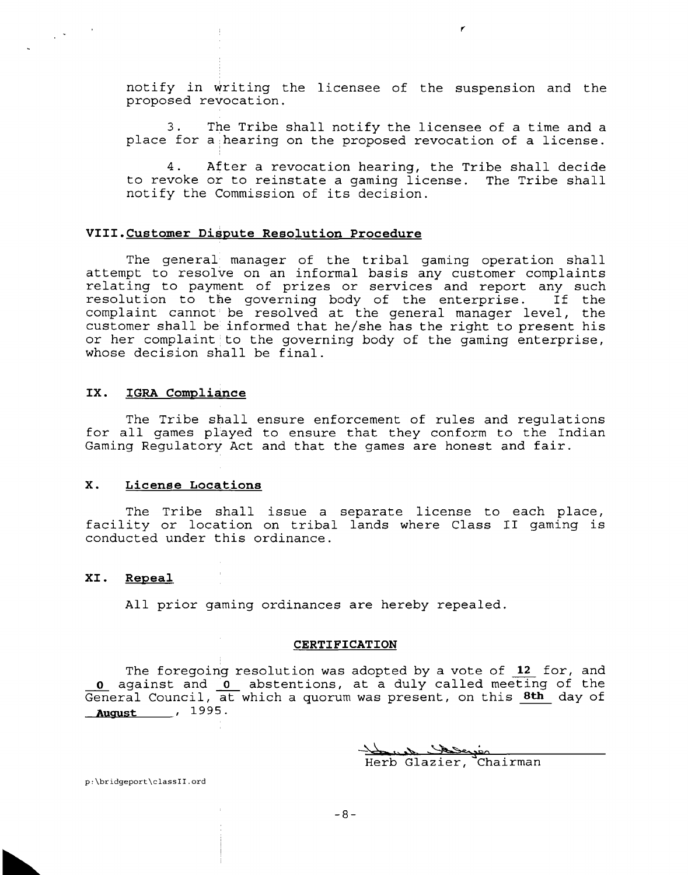notify in writing the licensee of the suspension and the proposed revocation.

3. The Tribe shall notify the licensee of a time and a place for a hearing on the proposed revocation of a license.

4. After a revocation hearing, the Tribe shall decide to revoke or to reinstate a gaming license. The Tribe shall notify the Commission of its decision.

#### **VIII.Customer Dispute Resolution Procedure**

The general manager of the tribal gaming operation shall attempt to resolve on an informal basis any customer complaints relating to payment of prizes or services and report any such resolution to the governing body of the enterprise. If the complaint cannot be resolved at the general manager level, the customer shall be informed that he/she has the right to present his or her complaint to the governing body of the gaming enterprise, whose decision shall be final.

#### IX. IGRA Compliance

 $\sim$   $^{\circ}$ 

The Tribe shall ensure enforcement of rules and regulations for all games played to ensure that they conform to the Indian Gaming Regulatory Act and that the games are honest and fair.

### **X. License Locations**

The Tribe shall issue a separate license to each place, facility or location on tribal lands where Class **I1** gaming is conducted under this ordinance.

### **XI. Repeal**

All prior gaming ordinances are hereby repealed.

#### **CERTIFICATION**

The foregoing resolution was adopted by a vote of  $12$  for, and o against and o abstentions, at a duly called meeting of the General Council, at which a quorum was present, on this **8th** day of **August** , 1995.

> en el Herb Glazier, Chairman

p:\bridgeport\classII.ord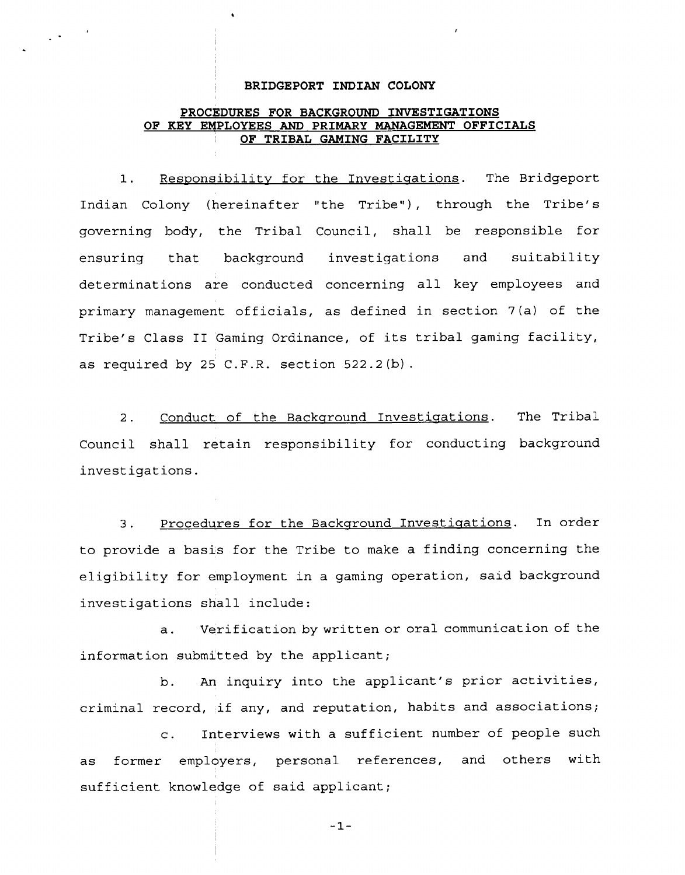#### <sup>1</sup>**BRIDGEPORT INDIAN COLONY**

 $\mathbb{R}^{4\times 1}$ 

# **PROCEDURES FOR BACKGROUND INVESTIGATIONS OF KEY EMPLOYEES AND PRIMARY MANAGEMENT OFFICIALS OF TRIBAL GAMING FACILITY**

1. Responsibility for the Investigations. The Bridgeport Indian Colony (hereinafter "the Tribe") , through the Tribe's governing body, the Tribal Council, shall be responsible for ensuring that background investigations and suitability determinations are conducted concerning all key employees and primary management officials, as defined in section 7 (a) of the Tribe's Class I1 Gaming Ordinance, of its tribal gaming facility, as required by 25 C.F.R. section 522.2(b).

2. Conduct of the Background Investigations. The Tribal Council shall retain responsibility for conducting background investigations.

3. Procedures for the Backqround Investiqations. In order to provide a basis for the Tribe to make a finding concerning the eligibility for employment in a gaming operation, said background investigations shall include:

a. Verification by written or oral communication of the information submitted by the applicant;

b. An inquiry into the applicant's prior activities, criminal record, if any, and reputation, habits and associations;

c. Interviews with a sufficient number of people such as former employers, personal references, and others with sufficient knowledge of said applicant;

 $-1-$